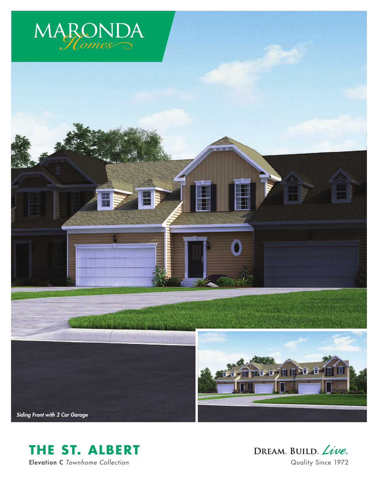